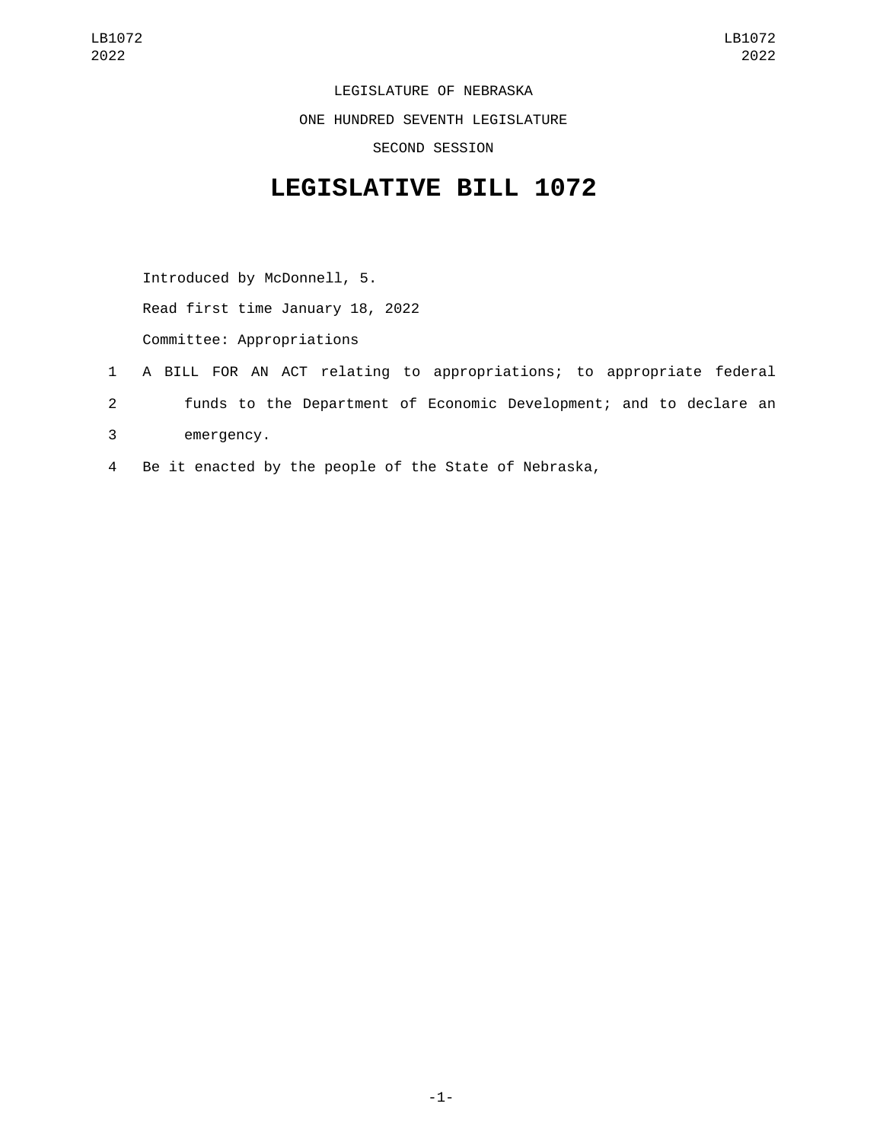LEGISLATURE OF NEBRASKA ONE HUNDRED SEVENTH LEGISLATURE SECOND SESSION

## **LEGISLATIVE BILL 1072**

Introduced by McDonnell, 5. Read first time January 18, 2022

Committee: Appropriations

- 1 A BILL FOR AN ACT relating to appropriations; to appropriate federal 2 funds to the Department of Economic Development; and to declare an emergency.3
- 4 Be it enacted by the people of the State of Nebraska,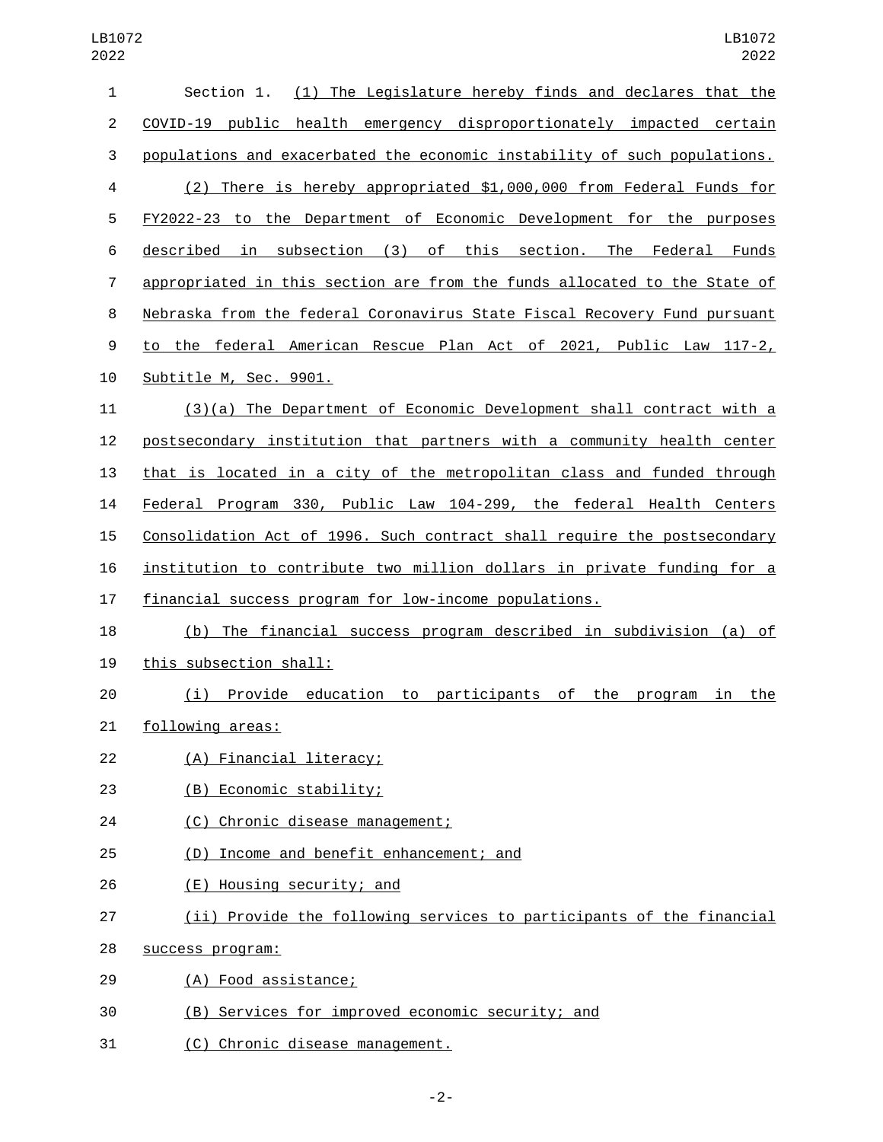| $\mathbf{1}$   | Section 1. (1) The Legislature hereby finds and declares that the         |
|----------------|---------------------------------------------------------------------------|
| $\overline{c}$ | COVID-19 public health emergency disproportionately impacted certain      |
| 3              | populations and exacerbated the economic instability of such populations. |
| 4              | (2) There is hereby appropriated \$1,000,000 from Federal Funds for       |
| 5              | FY2022-23 to the Department of Economic Development for the purposes      |
| 6              | described in subsection (3) of this section. The Federal Funds            |
| 7              | appropriated in this section are from the funds allocated to the State of |
| 8              | Nebraska from the federal Coronavirus State Fiscal Recovery Fund pursuant |
| 9              | to the federal American Rescue Plan Act of 2021, Public Law 117-2,        |
| 10             | Subtitle M, Sec. 9901.                                                    |
| 11             | (3)(a) The Department of Economic Development shall contract with a       |
| 12             | postsecondary institution that partners with a community health center    |
| 13             | that is located in a city of the metropolitan class and funded through    |
| 14             | Federal Program 330, Public Law 104-299, the federal Health Centers       |
| 15             | Consolidation Act of 1996. Such contract shall require the postsecondary  |
| 16             | institution to contribute two million dollars in private funding for a    |
| 17             | financial success program for low-income populations.                     |
| 18             | (b) The financial success program described in subdivision (a) of         |
| 19             | this subsection shall:                                                    |
| 20             | (i) Provide education to participants of the program<br>in the            |
| 21             | following areas:                                                          |
| 22             | (A) Financial literacy;                                                   |
| 23             | (B) Economic stability;                                                   |
| 24             | (C) Chronic disease management;                                           |
| 25             | Income and benefit enhancement; and<br>(D)                                |
| 26             | (E) Housing security; and                                                 |
| 27             | (ii) Provide the following services to participants of the financial      |
| 28             | success program:                                                          |
| 29             | (A) Food assistance;                                                      |
| 30             | (B) Services for improved economic security; and                          |
| 31             | (C) Chronic disease management.                                           |